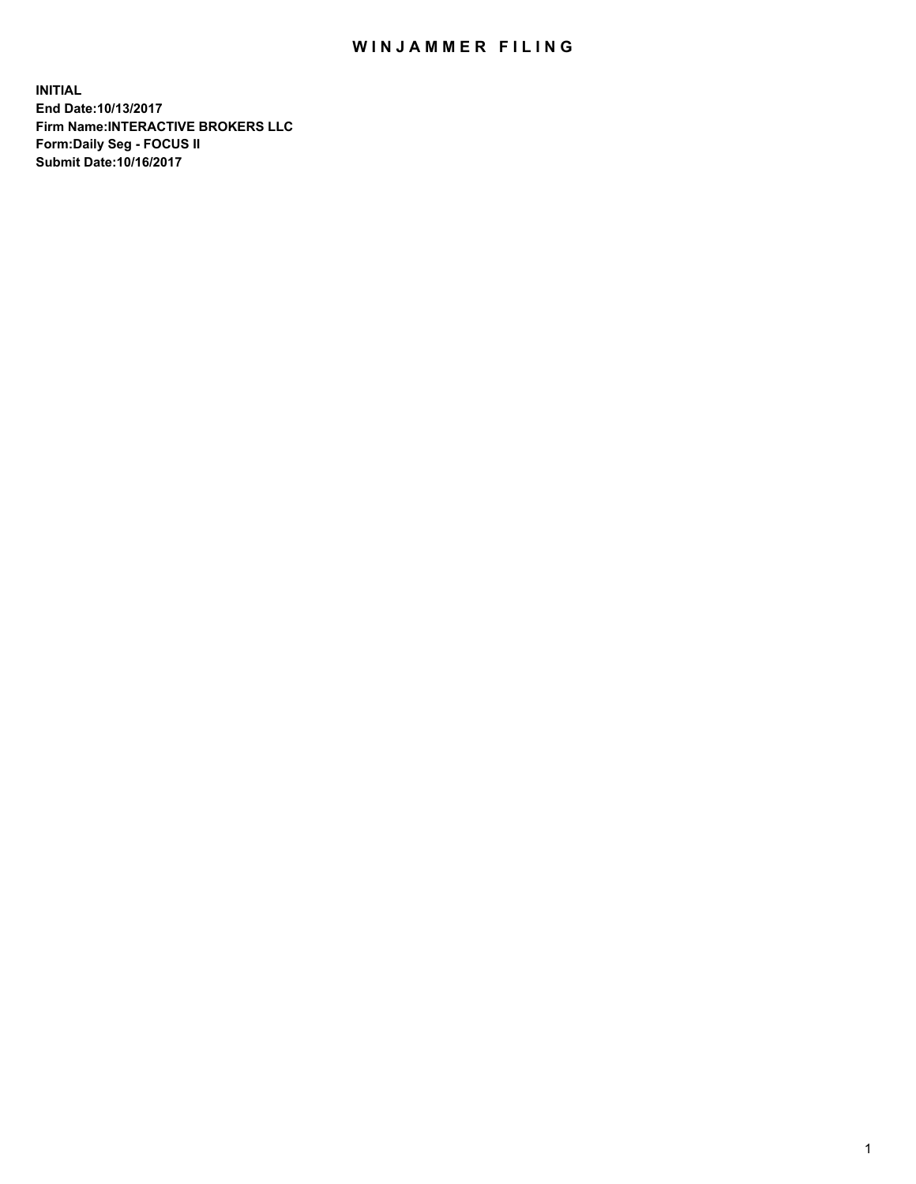## WIN JAMMER FILING

**INITIAL End Date:10/13/2017 Firm Name:INTERACTIVE BROKERS LLC Form:Daily Seg - FOCUS II Submit Date:10/16/2017**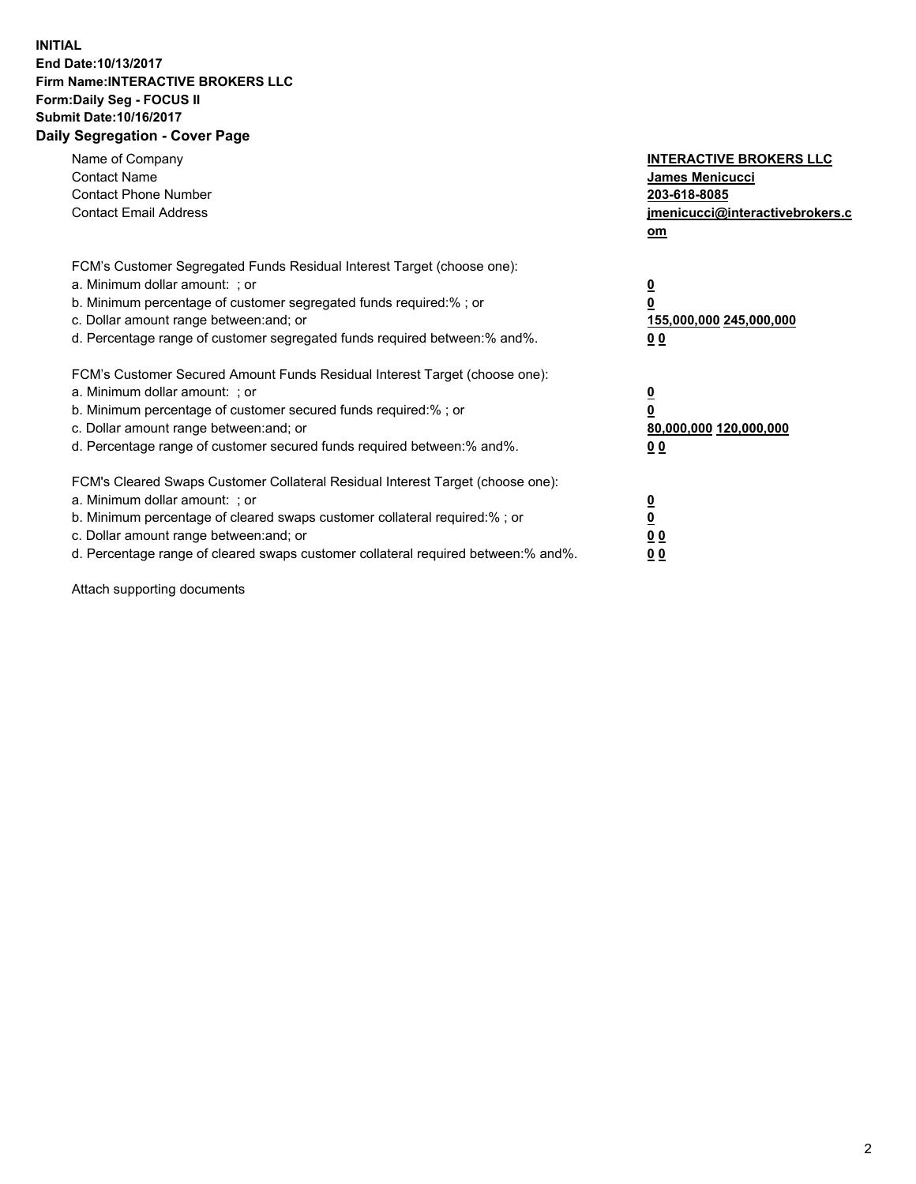## **INITIAL End Date:10/13/2017 Firm Name:INTERACTIVE BROKERS LLC Form:Daily Seg - FOCUS II Submit Date:10/16/2017 Daily Segregation - Cover Page**

| Name of Company<br><b>Contact Name</b><br><b>Contact Phone Number</b><br><b>Contact Email Address</b>                                                                                                                                                                                                                          | <b>INTERACTIVE BROKERS LLC</b><br><b>James Menicucci</b><br>203-618-8085<br>jmenicucci@interactivebrokers.c<br>om |
|--------------------------------------------------------------------------------------------------------------------------------------------------------------------------------------------------------------------------------------------------------------------------------------------------------------------------------|-------------------------------------------------------------------------------------------------------------------|
| FCM's Customer Segregated Funds Residual Interest Target (choose one):<br>a. Minimum dollar amount: ; or<br>b. Minimum percentage of customer segregated funds required:%; or<br>c. Dollar amount range between: and; or<br>d. Percentage range of customer segregated funds required between:% and%.                          | $\overline{\mathbf{0}}$<br>0<br>155,000,000 245,000,000<br>0 <sub>0</sub>                                         |
| FCM's Customer Secured Amount Funds Residual Interest Target (choose one):<br>a. Minimum dollar amount: ; or<br>b. Minimum percentage of customer secured funds required:%; or<br>c. Dollar amount range between: and; or<br>d. Percentage range of customer secured funds required between: % and %.                          | $\overline{\mathbf{0}}$<br>0<br>80,000,000 120,000,000<br>0 <sub>0</sub>                                          |
| FCM's Cleared Swaps Customer Collateral Residual Interest Target (choose one):<br>a. Minimum dollar amount: ; or<br>b. Minimum percentage of cleared swaps customer collateral required:% ; or<br>c. Dollar amount range between: and; or<br>d. Percentage range of cleared swaps customer collateral required between:% and%. | $\overline{\mathbf{0}}$<br>$\overline{\mathbf{0}}$<br>0 <sub>0</sub><br><u>00</u>                                 |

Attach supporting documents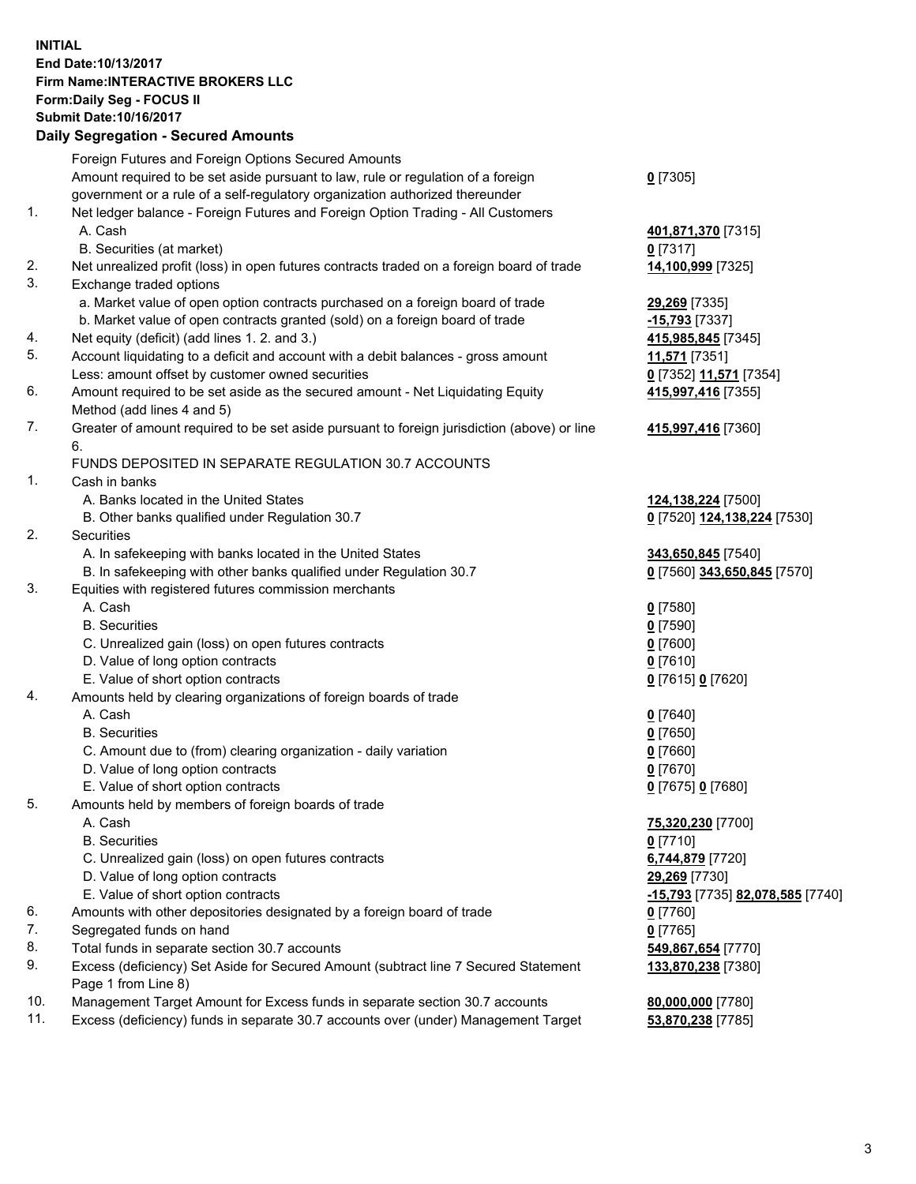## **INITIAL End Date:10/13/2017 Firm Name:INTERACTIVE BROKERS LLC Form:Daily Seg - FOCUS II Submit Date:10/16/2017**

|     | Submit Date:10/16/2017<br><b>Daily Segregation - Secured Amounts</b>                                      |                                  |
|-----|-----------------------------------------------------------------------------------------------------------|----------------------------------|
|     |                                                                                                           |                                  |
|     | Foreign Futures and Foreign Options Secured Amounts                                                       |                                  |
|     | Amount required to be set aside pursuant to law, rule or regulation of a foreign                          | $0$ [7305]                       |
|     | government or a rule of a self-regulatory organization authorized thereunder                              |                                  |
| 1.  | Net ledger balance - Foreign Futures and Foreign Option Trading - All Customers<br>A. Cash                | 401,871,370 [7315]               |
|     | B. Securities (at market)                                                                                 | $0$ [7317]                       |
| 2.  | Net unrealized profit (loss) in open futures contracts traded on a foreign board of trade                 | 14,100,999 [7325]                |
| 3.  | Exchange traded options<br>a. Market value of open option contracts purchased on a foreign board of trade | 29,269 [7335]                    |
|     | b. Market value of open contracts granted (sold) on a foreign board of trade                              | -15,793 <sup>[7337]</sup>        |
| 4.  | Net equity (deficit) (add lines 1.2. and 3.)                                                              | 415,985,845 [7345]               |
| 5.  | Account liquidating to a deficit and account with a debit balances - gross amount                         | 11,571 [7351]                    |
|     | Less: amount offset by customer owned securities                                                          | 0 [7352] 11,571 [7354]           |
| 6.  | Amount required to be set aside as the secured amount - Net Liquidating Equity                            | 415,997,416 [7355]               |
|     | Method (add lines 4 and 5)                                                                                |                                  |
| 7.  | Greater of amount required to be set aside pursuant to foreign jurisdiction (above) or line<br>6.         | 415,997,416 [7360]               |
|     | FUNDS DEPOSITED IN SEPARATE REGULATION 30.7 ACCOUNTS                                                      |                                  |
| 1.  | Cash in banks                                                                                             |                                  |
|     | A. Banks located in the United States                                                                     | 124,138,224 [7500]               |
|     | B. Other banks qualified under Regulation 30.7                                                            | 0 [7520] 124,138,224 [7530]      |
| 2.  | Securities                                                                                                |                                  |
|     | A. In safekeeping with banks located in the United States                                                 | 343,650,845 [7540]               |
|     | B. In safekeeping with other banks qualified under Regulation 30.7                                        | 0 [7560] 343,650,845 [7570]      |
| 3.  | Equities with registered futures commission merchants                                                     |                                  |
|     | A. Cash                                                                                                   | $0$ [7580]                       |
|     | <b>B.</b> Securities                                                                                      | $0$ [7590]                       |
|     | C. Unrealized gain (loss) on open futures contracts                                                       | $0$ [7600]                       |
|     | D. Value of long option contracts                                                                         | $0$ [7610]                       |
|     | E. Value of short option contracts                                                                        | 0 [7615] 0 [7620]                |
| 4.  | Amounts held by clearing organizations of foreign boards of trade                                         |                                  |
|     | A. Cash                                                                                                   | $0$ [7640]                       |
|     | <b>B.</b> Securities                                                                                      | $0$ [7650]                       |
|     | C. Amount due to (from) clearing organization - daily variation                                           | $0$ [7660]                       |
|     | D. Value of long option contracts                                                                         | $0$ [7670]                       |
|     | E. Value of short option contracts                                                                        | 0 [7675] 0 [7680]                |
| 5.  | Amounts held by members of foreign boards of trade                                                        |                                  |
|     | A. Cash                                                                                                   | 75,320,230 [7700]                |
|     | <b>B.</b> Securities                                                                                      | $0$ [7710]                       |
|     | C. Unrealized gain (loss) on open futures contracts                                                       | 6,744,879 [7720]                 |
|     | D. Value of long option contracts                                                                         | 29,269 [7730]                    |
|     | E. Value of short option contracts                                                                        | -15,793 [7735] 82,078,585 [7740] |
| 6.  | Amounts with other depositories designated by a foreign board of trade                                    | $0$ [7760]                       |
| 7.  | Segregated funds on hand                                                                                  | $0$ [7765]                       |
| 8.  | Total funds in separate section 30.7 accounts                                                             | 549,867,654 [7770]               |
| 9.  | Excess (deficiency) Set Aside for Secured Amount (subtract line 7 Secured Statement                       | 133,870,238 [7380]               |
|     | Page 1 from Line 8)                                                                                       |                                  |
| 10. | Management Target Amount for Excess funds in separate section 30.7 accounts                               | 80,000,000 [7780]                |
| 11. | Excess (deficiency) funds in separate 30.7 accounts over (under) Management Target                        | 53,870,238 [7785]                |
|     |                                                                                                           |                                  |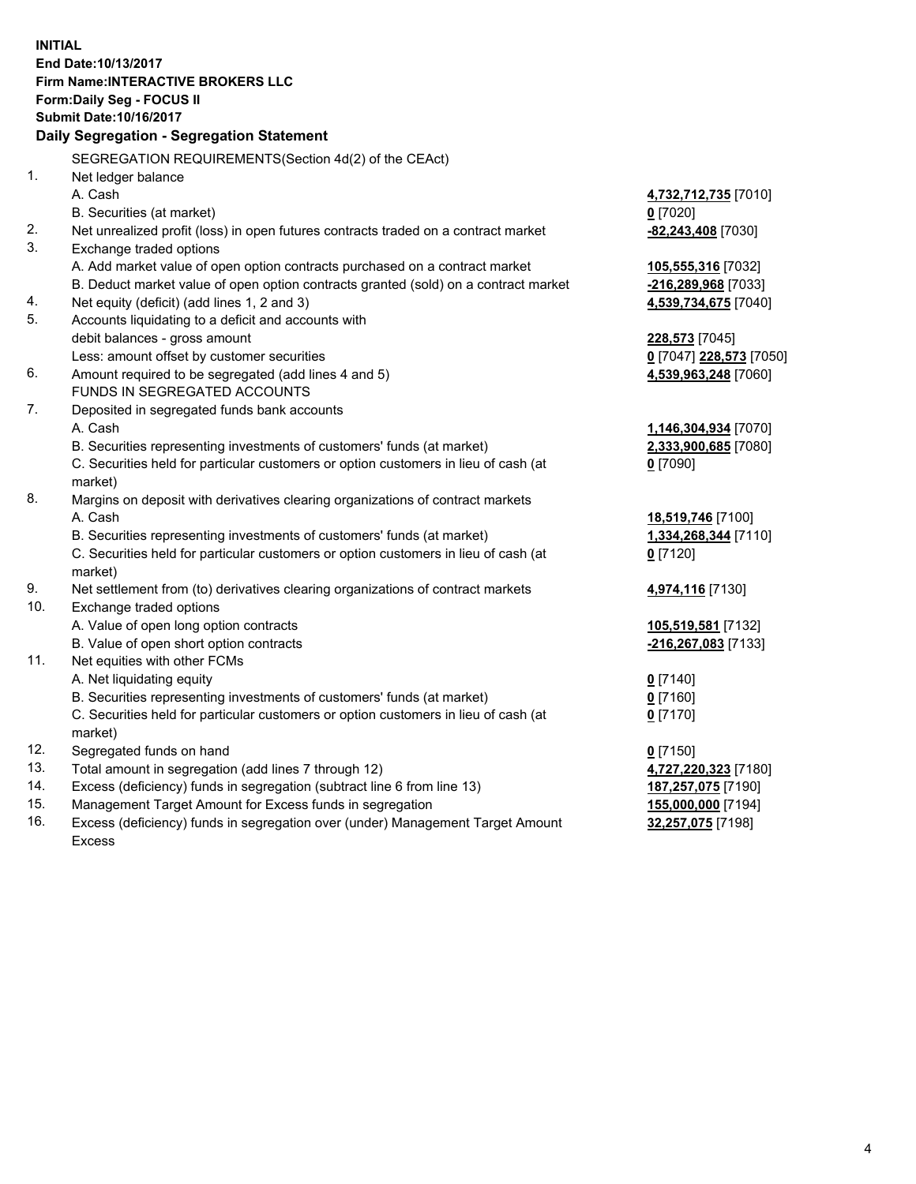**INITIAL End Date:10/13/2017 Firm Name:INTERACTIVE BROKERS LLC Form:Daily Seg - FOCUS II Submit Date:10/16/2017 Daily Segregation - Segregation Statement** SEGREGATION REQUIREMENTS(Section 4d(2) of the CEAct) 1. Net ledger balance A. Cash **4,732,712,735** [7010] B. Securities (at market) **0** [7020] 2. Net unrealized profit (loss) in open futures contracts traded on a contract market **-82,243,408** [7030] 3. Exchange traded options A. Add market value of open option contracts purchased on a contract market **105,555,316** [7032] B. Deduct market value of open option contracts granted (sold) on a contract market **-216,289,968** [7033] 4. Net equity (deficit) (add lines 1, 2 and 3) **4,539,734,675** [7040] 5. Accounts liquidating to a deficit and accounts with debit balances - gross amount **228,573** [7045] Less: amount offset by customer securities **0** [7047] **228,573** [7050] 6. Amount required to be segregated (add lines 4 and 5) **4,539,963,248** [7060] FUNDS IN SEGREGATED ACCOUNTS 7. Deposited in segregated funds bank accounts A. Cash **1,146,304,934** [7070] B. Securities representing investments of customers' funds (at market) **2,333,900,685** [7080] C. Securities held for particular customers or option customers in lieu of cash (at market) **0** [7090] 8. Margins on deposit with derivatives clearing organizations of contract markets A. Cash **18,519,746** [7100] B. Securities representing investments of customers' funds (at market) **1,334,268,344** [7110] C. Securities held for particular customers or option customers in lieu of cash (at market) **0** [7120] 9. Net settlement from (to) derivatives clearing organizations of contract markets **4,974,116** [7130] 10. Exchange traded options A. Value of open long option contracts **105,519,581** [7132] B. Value of open short option contracts **-216,267,083** [7133] 11. Net equities with other FCMs A. Net liquidating equity **0** [7140] B. Securities representing investments of customers' funds (at market) **0** [7160] C. Securities held for particular customers or option customers in lieu of cash (at market) **0** [7170] 12. Segregated funds on hand **0** [7150] 13. Total amount in segregation (add lines 7 through 12) **4,727,220,323** [7180] 14. Excess (deficiency) funds in segregation (subtract line 6 from line 13) **187,257,075** [7190] 15. Management Target Amount for Excess funds in segregation **155,000,000** [7194] **32,257,075** [7198]

16. Excess (deficiency) funds in segregation over (under) Management Target Amount Excess